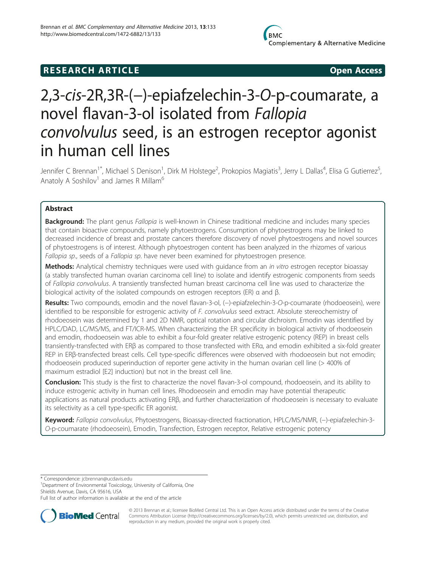## **RESEARCH ARTICLE Example 2018 12:00 Open Access**

# 2,3-cis-2R,3R-(−)-epiafzelechin-3-O-p-coumarate, a novel flavan-3-ol isolated from Fallopia convolvulus seed, is an estrogen receptor agonist in human cell lines

Jennifer C Brennan<sup>1\*</sup>, Michael S Denison<sup>1</sup>, Dirk M Holstege<sup>2</sup>, Prokopios Magiatis<sup>3</sup>, Jerry L Dallas<sup>4</sup>, Elisa G Gutierrez<sup>5</sup> , Anatoly A Soshilov<sup>1</sup> and James R Millam<sup>6</sup>

## Abstract

Background: The plant genus Fallopia is well-known in Chinese traditional medicine and includes many species that contain bioactive compounds, namely phytoestrogens. Consumption of phytoestrogens may be linked to decreased incidence of breast and prostate cancers therefore discovery of novel phytoestrogens and novel sources of phytoestrogens is of interest. Although phytoestrogen content has been analyzed in the rhizomes of various Fallopia sp., seeds of a Fallopia sp. have never been examined for phytoestrogen presence.

Methods: Analytical chemistry techniques were used with quidance from an in vitro estrogen receptor bioassay (a stably transfected human ovarian carcinoma cell line) to isolate and identify estrogenic components from seeds of Fallopia convolvulus. A transiently transfected human breast carcinoma cell line was used to characterize the biological activity of the isolated compounds on estrogen receptors (ER) α and β.

Results: Two compounds, emodin and the novel flavan-3-ol, (-)-epiafzelechin-3-O-p-coumarate (rhodoeosein), were identified to be responsible for estrogenic activity of F. convolvulus seed extract. Absolute stereochemistry of rhodoeosein was determined by 1 and 2D NMR, optical rotation and circular dichroism. Emodin was identified by HPLC/DAD, LC/MS/MS, and FT/ICR-MS. When characterizing the ER specificity in biological activity of rhodoeosein and emodin, rhodoeosein was able to exhibit a four-fold greater relative estrogenic potency (REP) in breast cells transiently-transfected with ERβ as compared to those transfected with ERα, and emodin exhibited a six-fold greater REP in ERβ-transfected breast cells. Cell type-specific differences were observed with rhodoeosein but not emodin; rhodoeosein produced superinduction of reporter gene activity in the human ovarian cell line (> 400% of maximum estradiol [E2] induction) but not in the breast cell line.

Conclusion: This study is the first to characterize the novel flavan-3-ol compound, rhodoeosein, and its ability to induce estrogenic activity in human cell lines. Rhodoeosein and emodin may have potential therapeutic applications as natural products activating ERβ, and further characterization of rhodoeosein is necessary to evaluate its selectivity as a cell type-specific ER agonist.

Keyword: Fallopia convolvulus, Phytoestrogens, Bioassay-directed fractionation, HPLC/MS/NMR, (-)-epiafzelechin-3-O-p-coumarate (rhodoeosein), Emodin, Transfection, Estrogen receptor, Relative estrogenic potency

\* Correspondence: [jcbrennan@ucdavis.edu](mailto:jcbrennan@ucdavis.edu) <sup>1</sup>

<sup>1</sup>Department of Environmental Toxicology, University of California, One Shields Avenue, Davis, CA 95616, USA

Full list of author information is available at the end of the article



© 2013 Brennan et al.; licensee BioMed Central Ltd. This is an Open Access article distributed under the terms of the Creative Commons Attribution License [\(http://creativecommons.org/licenses/by/2.0\)](http://creativecommons.org/licenses/by/2.0), which permits unrestricted use, distribution, and reproduction in any medium, provided the original work is properly cited.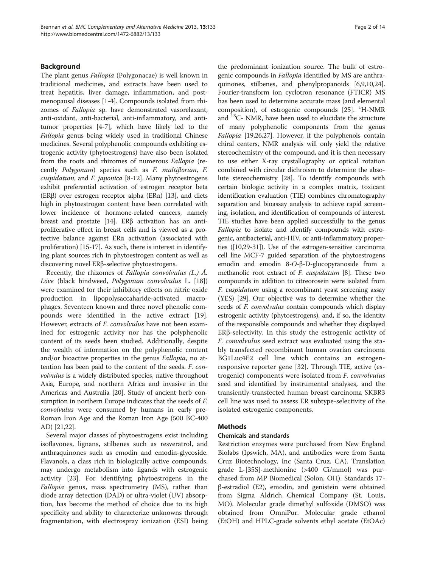#### Background

The plant genus Fallopia (Polygonacae) is well known in traditional medicines, and extracts have been used to treat hepatitis, liver damage, inflammation, and postmenopausal diseases [[1-4\]](#page-11-0). Compounds isolated from rhizomes of Fallopia sp. have demonstrated vasorelaxant, anti-oxidant, anti-bacterial, anti-inflammatory, and antitumor properties [\[4-7](#page-11-0)], which have likely led to the Fallopia genus being widely used in traditional Chinese medicines. Several polyphenolic compounds exhibiting estrogenic activity (phytoestrogens) have also been isolated from the roots and rhizomes of numerous Fallopia (recently Polygonum) species such as F. multiflorum, F. cuspidatum, and F. japonica [[8-12\]](#page-11-0). Many phytoestrogens exhibit preferential activation of estrogen receptor beta (ERβ) over estrogen receptor alpha (ERα) [\[13](#page-11-0)], and diets high in phytoestrogen content have been correlated with lower incidence of hormone-related cancers, namely breast and prostate [[14\]](#page-12-0). ERβ activation has an antiproliferative effect in breast cells and is viewed as a protective balance against ERα activation (associated with proliferation) [\[15-17\]](#page-12-0). As such, there is interest in identifying plant sources rich in phytoestrogen content as well as discovering novel ERβ-selective phytoestrogens.

Recently, the rhizomes of Fallopia convolvulus (L.) Á. Löve (black bindweed, Polygonum convolvulus L. [\[18](#page-12-0)]) were examined for their inhibitory effects on nitric oxide production in lipopolysaccaharide-activated macrophages. Seventeen known and three novel phenolic compounds were identified in the active extract [\[19](#page-12-0)]. However, extracts of *F. convolvulus* have not been examined for estrogenic activity nor has the polyphenolic content of its seeds been studied. Additionally, despite the wealth of information on the polyphenolic content and/or bioactive properties in the genus Fallopia, no attention has been paid to the content of the seeds. F. con*volvulus* is a widely distributed species, native throughout Asia, Europe, and northern Africa and invasive in the Americas and Australia [\[20\]](#page-12-0). Study of ancient herb consumption in northern Europe indicates that the seeds of F. convolvulus were consumed by humans in early pre-Roman Iron Age and the Roman Iron Age (500 BC-400 AD) [\[21,22\]](#page-12-0).

Several major classes of phytoestrogens exist including isoflavones, lignans, stilbenes such as resveratrol, and anthraquinones such as emodin and emodin-glycoside. Flavanols, a class rich in biologically active compounds, may undergo metabolism into ligands with estrogenic activity [[23\]](#page-12-0). For identifying phytoestrogens in the Fallopia genus, mass spectrometry (MS), rather than diode array detection (DAD) or ultra-violet (UV) absorption, has become the method of choice due to its high specificity and ability to characterize unknowns through fragmentation, with electrospray ionization (ESI) being

the predominant ionization source. The bulk of estrogenic compounds in Fallopia identified by MS are anthraquinones, stilbenes, and phenylpropanoids [\[6,9,10,](#page-11-0)[24](#page-12-0)]. Fourier-transform ion cyclotron resonance (FTICR) MS has been used to determine accurate mass (and elemental composition), of estrogenic compounds [\[25\]](#page-12-0). <sup>1</sup>H-NMR and  $^{13}$ C- NMR, have been used to elucidate the structure of many polyphenolic components from the genus Fallopia [[19,26,27\]](#page-12-0). However, if the polyphenols contain chiral centers, NMR analysis will only yield the relative stereochemistry of the compound, and it is then necessary to use either X-ray crystallography or optical rotation combined with circular dichroism to determine the absolute stereochemistry [[28](#page-12-0)]. To identify compounds with certain biologic activity in a complex matrix, toxicant identification evaluation (TIE) combines chromatography separation and bioassay analysis to achieve rapid screening, isolation, and identification of compounds of interest. TIE studies have been applied successfully to the genus Fallopia to isolate and identify compounds with estrogenic, antibacterial, anti-HIV, or anti-inflammatory properties ([\[10,](#page-11-0)[29](#page-12-0)-[31](#page-12-0)]). Use of the estrogen-sensitive carcinoma cell line MCF-7 guided separation of the phytoestrogens emodin and emodin 8-Ο-β-D-glucopyranoside from a methanolic root extract of F. cuspidatum [\[8\]](#page-11-0). These two compounds in addition to citreorosein were isolated from F. cuspidatum using a recombinant yeast screening assay (YES) [[29](#page-12-0)]. Our objective was to determine whether the seeds of *F. convolvulus* contain compounds which display estrogenic activity (phytoestrogens), and, if so, the identity of the responsible compounds and whether they displayed ERβ-selectivity. In this study the estrogenic activity of F. convolvulus seed extract was evaluated using the stably transfected recombinant human ovarian carcinoma BG1Luc4E2 cell line which contains an estrogenresponsive reporter gene [[32\]](#page-12-0). Through TIE, active (estrogenic) components were isolated from F. convolvulus seed and identified by instrumental analyses, and the transiently-transfected human breast carcinoma SKBR3 cell line was used to assess ER subtype-selectivity of the isolated estrogenic components.

## Methods

#### Chemicals and standards

Restriction enzymes were purchased from New England Biolabs (Ipswich, MA), and antibodies were from Santa Cruz Biotechnology, Inc (Santa Cruz, CA). Translation grade L-[35S]-methionine (>400 Ci/mmol) was purchased from MP Biomedical (Solon, OH). Standards 17 β-estradiol (E2), emodin, and genistein were obtained from Sigma Aldrich Chemical Company (St. Louis, MO). Molecular grade dimethyl sulfoxide (DMSO) was obtained from OmniPur. Molecular grade ethanol (EtOH) and HPLC-grade solvents ethyl acetate (EtOAc)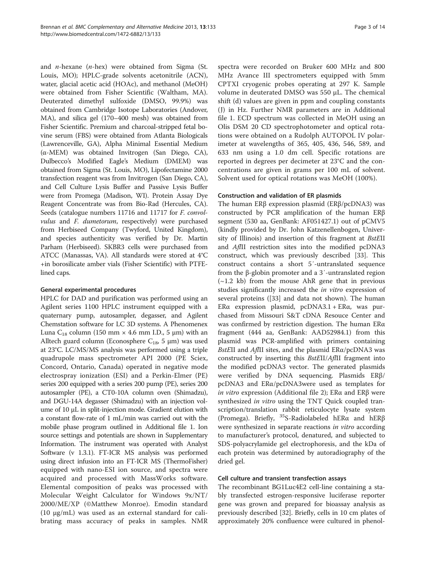and  $n$ -hexane ( $n$ -hex) were obtained from Sigma (St. Louis, MO); HPLC-grade solvents acetonitrile (ACN), water, glacial acetic acid (HOAc), and methanol (MeOH) were obtained from Fisher Scientific (Waltham, MA). Deuterated dimethyl sulfoxide (DMSO, 99.9%) was obtained from Cambridge Isotope Laboratories (Andover, MA), and silica gel (170–400 mesh) was obtained from Fisher Scientific. Premium and charcoal-stripped fetal bovine serum (FBS) were obtained from Atlanta Biologicals (Lawrenceville, GA), Alpha Minimal Essential Medium (α-MEM) was obtained Invitrogen (San Diego, CA), Dulbecco's Modified Eagle's Medium (DMEM) was obtained from Sigma (St. Louis, MO), Lipofectamine 2000 transfection reagent was from Invitrogen (San Diego, CA), and Cell Culture Lysis Buffer and Passive Lysis Buffer were from Promega (Madison, WI). Protein Assay Dye Reagent Concentrate was from Bio-Rad (Hercules, CA). Seeds (catalogue numbers 11716 and 11717 for *F. convol*vulus and F. dumetorum, respectively) were purchased from Herbiseed Company (Twyford, United Kingdom), and species authenticity was verified by Dr. Martin Parham (Herbiseed). SKBR3 cells were purchased from ATCC (Manassas, VA). All standards were stored at 4°C +in borosilicate amber vials (Fisher Scientific) with PTFElined caps.

#### General experimental procedures

HPLC for DAD and purification was performed using an Agilent series 1100 HPLC instrument equipped with a quaternary pump, autosampler, degasser, and Agilent Chemstation software for LC 3D systems. A Phenomenex Luna C<sub>18</sub> column (150 mm × 4.6 mm I.D., 5 µm) with an Alltech guard column (Econosphere  $C_{18}$ , 5 µm) was used at 23°C. LC/MS/MS analysis was performed using a triple quadrupole mass spectrometer API 2000 (PE Sciex, Concord, Ontario, Canada) operated in negative mode electrospray ionization (ESI) and a Perkin-Elmer (PE) series 200 equipped with a series 200 pump (PE), series 200 autosampler (PE), a CT0-10A column oven (Shimadzu), and DGU-14A degasser (Shimadzu) with an injection volume of 10 μL in split-injection mode. Gradient elution with a constant flow-rate of 1 mL/min was carried out with the mobile phase program outlined in Additional file [1](#page-11-0). Ion source settings and potentials are shown in Supplementary Information. The instrument was operated with Analyst Software (v 1.3.1). FT-ICR MS analysis was performed using direct infusion into an FT-ICR MS (ThermoFisher) equipped with nano-ESI ion source, and spectra were acquired and processed with MassWorks software. Elemental composition of peaks was processed with Molecular Weight Calculator for Windows 9x/NT/ 2000/ME/XP (©Matthew Monroe). Emodin standard (10 μg/mL) was used as an external standard for calibrating mass accuracy of peaks in samples. NMR

spectra were recorded on Bruker 600 MHz and 800 MHz Avance III spectrometers equipped with 5mm CPTXI cryogenic probes operating at 297 K. Sample volume in deuterated DMSO was 550 μL. The chemical shift (d) values are given in ppm and coupling constants (J) in Hz. Further NMR parameters are in Additional file [1](#page-11-0). ECD spectrum was collected in MeOH using an Olis DSM 20 CD spectrophotometer and optical rotations were obtained on a Rudolph AUTOPOL IV polarimeter at wavelengths of 365, 405, 436, 546, 589, and 633 nm using a 1.0 dm cell. Specific rotations are reported in degrees per decimeter at 23°C and the concentrations are given in grams per 100 mL of solvent. Solvent used for optical rotations was MeOH (100%).

## Construction and validation of ER plasmids

The human ERβ expression plasmid (ERβ/pcDNA3) was constructed by PCR amplification of the human ERβ segment (530 aa, GenBank: AF051427.1) out of pCMV5 (kindly provided by Dr. John Katzenellenbogen, University of Illinois) and insertion of this fragment at BstEII and AflII restriction sites into the modified pcDNA3 construct, which was previously described [\[33](#page-12-0)]. This construct contains a short 5′-untranslated sequence from the β-globin promoter and a 3′-untranslated region  $(-1.2 \text{ kb})$  from the mouse AhR gene that in previous studies significantly increased the in vitro expression of several proteins ([[33\]](#page-12-0) and data not shown). The human ERα expression plasmid, pcDNA3.1 + ERα, was purchased from Missouri S&T cDNA Resouce Center and was confirmed by restriction digestion. The human ERα fragment (444 aa, GenBank: AAD52984.1) from this plasmid was PCR-amplified with primers containing BstEII and  $Afl$ II sites, and the plasmid  $ER\alpha/pcDNA3$  was constructed by inserting this BstEII/AflII fragment into the modified pcDNA3 vector. The generated plasmids were verified by DNA sequencing. Plasmids ERβ/ pcDNA3 and ERα/pcDNA3were used as templates for in vitro expression (Additional file [2](#page-11-0)); ER $\alpha$  and ER $\beta$  were synthesized *in vitro* using the TNT Quick coupled transcription/translation rabbit reticulocyte lysate system (Promega). Briefly, 35S-Radiolabeled hERα and hERβ were synthesized in separate reactions in vitro according to manufacturer's protocol, denatured, and subjected to SDS-polyacrylamide gel electrophoresis, and the kDa of each protein was determined by autoradiography of the dried gel.

### Cell culture and transient transfection assays

The recombinant BG1Luc4E2 cell-line containing a stably transfected estrogen-responsive luciferase reporter gene was grown and prepared for bioassay analysis as previously described [\[32](#page-12-0)]. Briefly, cells in 10 cm plates of approximately 20% confluence were cultured in phenol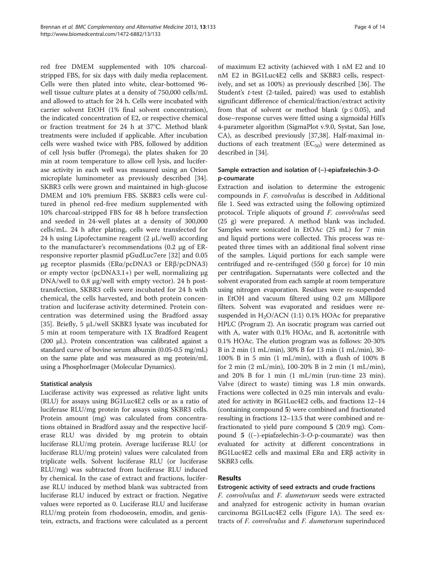red free DMEM supplemented with 10% charcoalstripped FBS, for six days with daily media replacement. Cells were then plated into white, clear-bottomed 96 well tissue culture plates at a density of 750,000 cells/mL and allowed to attach for 24 h. Cells were incubated with carrier solvent EtOH (1% final solvent concentration), the indicated concentration of E2, or respective chemical or fraction treatment for 24 h at 37°C. Method blank treatments were included if applicable. After incubation cells were washed twice with PBS, followed by addition of cell lysis buffer (Promega), the plates shaken for 20 min at room temperature to allow cell lysis, and luciferase activity in each well was measured using an Orion microplate luminometer as previously described [\[34](#page-12-0)]. SKBR3 cells were grown and maintained in high-glucose DMEM and 10% premium FBS. SKBR3 cells were cultured in phenol red-free medium supplemented with 10% charcoal-stripped FBS for 48 h before transfection and seeded in 24-well plates at a density of 300,000 cells/mL. 24 h after plating, cells were transfected for 24 h using Lipofectamine reagent  $(2 \mu L/well)$  according to the manufacturer's recommendations (0.2 μg of ERresponsive reporter plasmid pGudLuc7ere [[32\]](#page-12-0) and 0.05 μg receptor plasmids (ERα/pcDNA3 or ERβ/pcDNA3) or empty vector (pcDNA3.1+) per well, normalizing μg DNA/well to 0.8 μg/well with empty vector). 24 h posttransfection, SKBR3 cells were incubated for 24 h with chemical, the cells harvested, and both protein concentration and luciferase activity determined. Protein concentration was determined using the Bradford assay [[35\]](#page-12-0). Briefly, 5 μL/well SKBR3 lysate was incubated for 5 min at room temperature with 1X Bradford Reagent (200 μL). Protein concentration was calibrated against a standard curve of bovine serum albumin (0.05-0.5 mg/mL) on the same plate and was measured as mg protein/mL using a PhosphorImager (Molecular Dynamics).

## Statistical analysis

Luciferase activity was expressed as relative light units (RLU) for assays using BG1Luc4E2 cells or as a ratio of luciferase RLU/mg protein for assays using SKBR3 cells. Protein amount (mg) was calculated from concentrations obtained in Bradford assay and the respective luciferase RLU was divided by mg protein to obtain luciferase RLU/mg protein. Average luciferase RLU (or luciferase RLU/mg protein) values were calculated from triplicate wells. Solvent luciferase RLU (or luciferase RLU/mg) was subtracted from luciferase RLU induced by chemical. In the case of extract and fractions, luciferase RLU induced by method blank was subtracted from luciferase RLU induced by extract or fraction. Negative values were reported as 0. Luciferase RLU and luciferase RLU/mg protein from rhodoeosein, emodin, and genistein, extracts, and fractions were calculated as a percent

of maximum E2 activity (achieved with 1 nM E2 and 10 nM E2 in BG1Luc4E2 cells and SKBR3 cells, respectively, and set as 100%) as previously described [[36\]](#page-12-0). The Student's t-test (2-tailed, paired) was used to establish significant difference of chemical/fraction/extract activity from that of solvent or method blank ( $p \le 0.05$ ), and dose–response curves were fitted using a sigmoidal Hill's 4-parameter algorithm (SigmaPlot v.9.0, Systat, San Jose, CA), as described previously [\[37,38](#page-12-0)]. Half-maximal inductions of each treatment  $(EC_{50})$  were determined as described in [[34](#page-12-0)].

## Sample extraction and isolation of (−)-epiafzelechin-3-Op-coumarate

Extraction and isolation to determine the estrogenic compounds in F. convolvulus is described in Additional file [1.](#page-11-0) Seed was extracted using the following optimized protocol. Triple aliquots of ground F. convolvulus seed (25 g) were prepared. A method blank was included. Samples were sonicated in EtOAc (25 mL) for 7 min and liquid portions were collected. This process was repeated three times with an additional final solvent rinse of the samples. Liquid portions for each sample were centrifuged and re-centrifuged (550 g force) for 10 min per centrifugation. Supernatants were collected and the solvent evaporated from each sample at room temperature using nitrogen evaporation. Residues were re-suspended in EtOH and vacuum filtered using 0.2 μm Millipore filters. Solvent was evaporated and residues were resuspended in  $H_2O/ACN$  (1:1) 0.1% HOAc for preparative HPLC (Program 2). An isocratic program was carried out with A, water with 0.1% HOAc, and B, acetonitrile with 0.1% HOAc. The elution program was as follows: 20-30% B in 2 min (1 mL/min), 30% B for 13 min (1 mL/min), 30- 100% B in 5 min (1 mL/min), with a flush of 100% B for 2 min (2 mL/min), 100-20% B in 2 min (1 mL/min), and 20% B for 1 min (1 mL/min (run-time 23 min). Valve (direct to waste) timing was 1.8 min onwards. Fractions were collected in 0.25 min intervals and evaluated for activity in BG1Luc4E2 cells, and fractions 12–14 (containing compound 5) were combined and fractionated resulting in fractions 12–13.5 that were combined and refractionated to yield pure compound 5 (20.9 mg). Compound 5 ((−)-epiafzelechin-3-O-p-coumarate) was then evaluated for activity at different concentrations in BG1Luc4E2 cells and maximal ERα and ERβ activity in SKBR3 cells.

## Results

#### Estrogenic activity of seed extracts and crude fractions

F. convolvulus and F. dumetorum seeds were extracted and analyzed for estrogenic activity in human ovarian carcinoma BG1Luc4E2 cells (Figure [1A](#page-4-0)). The seed extracts of F. convolvulus and F. dumetorum superinduced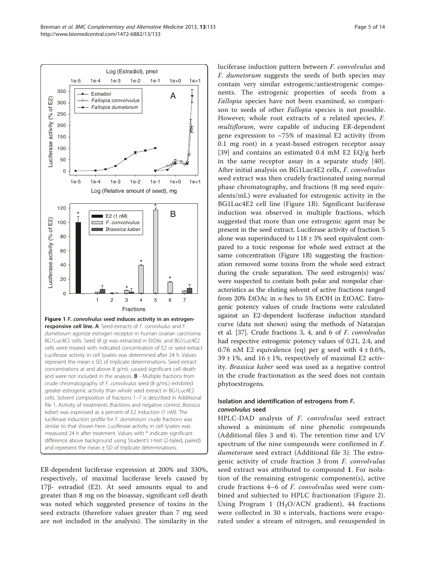<span id="page-4-0"></span>

ER-dependent luciferase expression at 200% and 330%, respectively, of maximal luciferase levels caused by 17β- estradiol (E2). At seed amounts equal to and greater than 8 mg on the bioassay, significant cell death was noted which suggested presence of toxins in the seed extracts (therefore values greater than 7 mg seed are not included in the analysis). The similarity in the luciferase induction pattern between F. convolvulus and F. dumetorum suggests the seeds of both species may contain very similar estrogenic/antiestrogenic components. The estrogenic properties of seeds from a Fallopia species have not been examined, so comparison to seeds of other Fallopia species is not possible. However, whole root extracts of a related species, F. multiflorum, were capable of inducing ER-dependent gene expression to  $\sim$ 75% of maximal E2 activity (from 0.1 mg root) in a yeast-based estrogen receptor assay [[39\]](#page-12-0) and contains an estimated 0.4 mM E2 EQ/g herb in the same receptor assay in a separate study [\[40](#page-12-0)]. After initial analysis on BG1Luc4E2 cells, F. convolvulus seed extract was then crudely fractionated using normal phase chromatography, and fractions (8 mg seed equivalents/mL) were evaluated for estrogenic activity in the BG1Luc4E2 cell line (Figure 1B). Significant luciferase induction was observed in multiple fractions, which suggested that more than one estrogenic agent may be present in the seed extract. Luciferase activity of fraction 5 alone was superinduced to  $118 \pm 3\%$  seed equivalent compared to a toxic response for whole seed extract at the same concentration (Figure 1B) suggesting the fractionation removed some toxins from the whole seed extract during the crude separation. The seed estrogen(s) was/ were suspected to contain both polar and nonpolar characteristics as the eluting solvent of active fractions ranged from 20% EtOAc in n-hex to 5% EtOH in EtOAC. Estrogenic potency values of crude fractions were calculated against an E2-dependent luciferase induction standard curve (data not shown) using the methods of Natarajan et al. [\[37\]](#page-12-0). Crude fractions 3, 4, and 6 of F. convolvulus had respective estrogenic potency values of 0.21, 2.4, and 0.76 nM E2 equivalence (eq) per g seed with  $4 \pm 0.6\%$ ,  $39 \pm 1\%$ , and  $16 \pm 1\%$ , respectively of maximal E2 activity. Brassica kaber seed was used as a negative control in the crude fractionation as the seed does not contain phytoestrogens.

## Isolation and identification of estrogens from F. convolvulus seed

HPLC-DAD analysis of F. convolvulus seed extract showed a minimum of nine phenolic compounds (Additional files [3](#page-11-0) and [4](#page-11-0)). The retention time and UV spectrum of the nine compounds were confirmed in F. dumetorum seed extract (Additional file [3\)](#page-11-0). The estrogenic activity of crude fraction 3 from F. convolvulus seed extract was attributed to compound 1. For isolation of the remaining estrogenic component(s), active crude fractions 4–6 of F. convolvulus seed were combined and subjected to HPLC fractionation (Figure [2](#page-5-0)). Using Program 1  $(H<sub>2</sub>O/ACN)$  gradient), 44 fractions were collected in 30 s intervals, fractions were evaporated under a stream of nitrogen, and resuspended in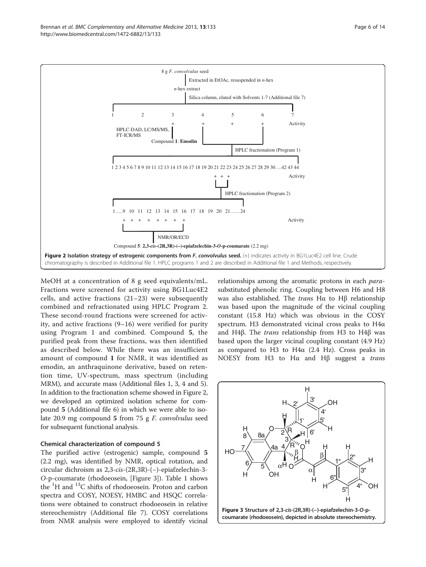<span id="page-5-0"></span>

MeOH at a concentration of 8 g seed equivalents/mL. Fractions were screened for activity using BG1Luc4E2 cells, and active fractions (21–23) were subsequently combined and refractionated using HPLC Program 2. These second-round fractions were screened for activity, and active fractions (9–16) were verified for purity using Program 1 and combined. Compound 5, the purified peak from these fractions, was then identified as described below. While there was an insufficient amount of compound 1 for NMR, it was identified as emodin, an anthraquinone derivative, based on retention time, UV-spectrum, mass spectrum (including MRM), and accurate mass (Additional files [1](#page-11-0), [3](#page-11-0), [4](#page-11-0) and [5](#page-11-0)). In addition to the fractionation scheme showed in Figure 2, we developed an optimized isolation scheme for compound 5 (Additional file [6](#page-11-0)) in which we were able to isolate 20.9 mg compound 5 from 75 g F. convolvulus seed for subsequent functional analysis.

#### Chemical characterization of compound 5

The purified active (estrogenic) sample, compound 5 (2.2 mg), was identified by NMR, optical rotation, and circular dichroism as 2,3-cis-(2R,3R)-(−)-epiafzelechin-3- O-p-coumarate (rhodoeosein, [Figure 3]). Table [1](#page-6-0) shows the  ${}^{1}$ H and  ${}^{13}$ C shifts of rhodoeosein. Proton and carbon spectra and COSY, NOESY, HMBC and HSQC correlations were obtained to construct rhodoeosein in relative stereochemistry (Additional file [7](#page-11-0)). COSY correlations from NMR analysis were employed to identify vicinal

relationships among the aromatic protons in each *para*substituted phenolic ring. Coupling between H6 and H8 was also established. The trans Hα to Hβ relationship was based upon the magnitude of the vicinal coupling constant (15.8 Hz) which was obvious in the COSY spectrum. H3 demonstrated vicinal cross peaks to H4α and H4β. The trans relationship from H3 to H4β was based upon the larger vicinal coupling constant (4.9 Hz) as compared to H3 to H4 $\alpha$  (2.4 Hz). Cross peaks in NOESY from H3 to Hα and Hβ suggest a *trans* 

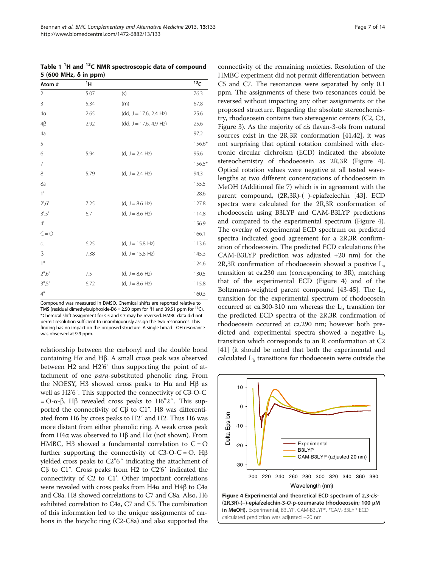| Atom #                  | $\mathbf{H}^{\dagger}$ |                           | $\overline{13}$ C |  |  |  |  |  |  |
|-------------------------|------------------------|---------------------------|-------------------|--|--|--|--|--|--|
| $\overline{2}$          | 5.07                   | (s)                       | 76.3              |  |  |  |  |  |  |
| 3                       | 5.34                   | (m)                       | 67.8              |  |  |  |  |  |  |
| 4 <sub>a</sub>          | 2.65                   | $(dd, J = 17.6, 2.4 Hz)$  | 25.6              |  |  |  |  |  |  |
| $4\beta$                | 2.92                   | $(dd, J = 17.6, 4.9 Hz)$  | 25.6              |  |  |  |  |  |  |
| 4a                      |                        |                           | 97.2              |  |  |  |  |  |  |
| 5                       |                        |                           | 156.6*            |  |  |  |  |  |  |
| 6                       | 5.94                   | $(d, J = 2.4 Hz)$         | 95.6              |  |  |  |  |  |  |
| 7                       |                        |                           | 156.5*            |  |  |  |  |  |  |
| 8                       | 5.79                   | $(d, J = 2.4 Hz)$         | 94.3              |  |  |  |  |  |  |
| 8a                      |                        |                           | 155.5             |  |  |  |  |  |  |
| 1'                      |                        |                           | 128.6             |  |  |  |  |  |  |
| 2,6'                    | 7.25                   | $(d, J = 8.6 \text{ Hz})$ | 127.8             |  |  |  |  |  |  |
| $3^{\prime},5^{\prime}$ | 6.7                    | $(d, J = 8.6 \text{ Hz})$ | 114.8             |  |  |  |  |  |  |
| 4'                      |                        |                           | 156.9             |  |  |  |  |  |  |
| $C = 0$                 |                        |                           | 166.1             |  |  |  |  |  |  |
| α                       | 6.25                   | $(d, J = 15.8 Hz)$        | 113.6             |  |  |  |  |  |  |
| β                       | 7.38                   | $(d, J = 15.8 Hz)$        | 145.3             |  |  |  |  |  |  |
| 1"                      |                        |                           | 124.6             |  |  |  |  |  |  |
| 2", 6"                  | 7.5                    | $(d, J = 8.6 \text{ Hz})$ | 130.5             |  |  |  |  |  |  |
| 3" 5"                   | 6.72                   | $(d, J = 8.6 \text{ Hz})$ | 115.8             |  |  |  |  |  |  |
| 4"                      |                        |                           | 160.3             |  |  |  |  |  |  |

<span id="page-6-0"></span>Table 1 <sup>1</sup>H and <sup>13</sup>C NMR spectroscopic data of compound 5 (600 MHz,  $\delta$  in ppm)

Compound was measured in DMSO. Chemical shifts are reported relative to TMS (residual dimethylsulphoxide-D6 = 2.50 ppm for  $\rm ^1H$  and 39.51 ppm for  $\rm ^{13}C$ ). \*Chemical shift assignment for C5 and C7 may be reversed. HMBC data did not permit resolution sufficient to unambiguously assign the two resonances. This finding has no impact on the proposed structure. A single broad –OH resonance was observed at 9.9 ppm.

relationship between the carbonyl and the double bond containing Hα and Hβ. A small cross peak was observed between H2 and H2'6′ thus supporting the point of attachment of one para-substituted phenolic ring. From the NOESY, H3 showed cross peaks to Hα and Hβ as well as H2'6′. This supported the connectivity of C3-O-C = O-α-β. Hβ revealed cross peaks to H6"2″. This supported the connectivity of Cβ to C1". H8 was differentiated from H6 by cross peaks to H2′ and H2. Thus H6 was more distant from either phenolic ring. A weak cross peak from H4α was observed to Hβ and Hα (not shown). From HMBC, H3 showed a fundamental correlation to  $C = O$ further supporting the connectivity of C3-O-C = O. H $\beta$ yielded cross peaks to C2"6″ indicating the attachment of Cβ to C1". Cross peaks from H2 to C2'6′ indicated the connectivity of C2 to C1'. Other important correlations were revealed with cross peaks from H4 $α$  and H4 $β$  to C4 $α$ and C8a. H8 showed correlations to C7 and C8a. Also, H6 exhibited correlation to C4a, C7 and C5. The combination of this information led to the unique assignments of carbons in the bicyclic ring (C2-C8a) and also supported the

connectivity of the remaining moieties. Resolution of the HMBC experiment did not permit differentiation between C5 and C7. The resonances were separated by only 0.1 ppm. The assignments of these two resonances could be reversed without impacting any other assignments or the proposed structure. Regarding the absolute stereochemistry, rhodoeosein contains two stereogenic centers (C2, C3, Figure [3](#page-5-0)). As the majority of cis flavan-3-ols from natural sources exist in the 2R,3R conformation [\[41,42\]](#page-12-0), it was not surprising that optical rotation combined with electronic circular dichroism (ECD) indicated the absolute stereochemistry of rhodoeosein as 2R,3R (Figure 4). Optical rotation values were negative at all tested wavelengths at two different concentrations of rhodoeosein in MeOH (Additional file [7](#page-11-0)) which is in agreement with the parent compound, (2R,3R)-(−)-epiafzelechin [\[43\]](#page-12-0). ECD spectra were calculated for the 2R,3R conformation of rhodoeosein using B3LYP and CAM-B3LYP predictions and compared to the experimental spectrum (Figure 4). The overlay of experimental ECD spectrum on predicted spectra indicated good agreement for a 2R,3R confirmation of rhodoeosein. The predicted ECD calculations (the CAM-B3LYP prediction was adjusted +20 nm) for the 2R,3R confirmation of rhodoeosein showed a positive  $L_a$ transition at ca.230 nm (corresponding to 3R), matching that of the experimental ECD (Figure 4) and of the Boltzmann-weighted parent compound [\[43-45\]](#page-12-0). The  $L_b$ transition for the experimental spectrum of rhodoeosein occurred at ca.300-310 nm whereas the  $L<sub>b</sub>$  transition for the predicted ECD spectra of the 2R,3R confirmation of rhodoeosein occurred at ca.290 nm; however both predicted and experimental spectra showed a negative  $L<sub>b</sub>$ transition which corresponds to an R conformation at C2 [[41](#page-12-0)] (it should be noted that both the experimental and calculated  $L<sub>b</sub>$  transitions for rhodoeosein were outside the

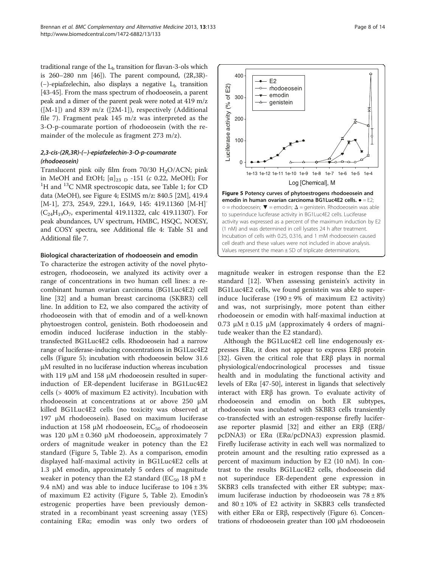traditional range of the  $L<sub>b</sub>$  transition for flavan-3-ols which is 260–280 nm [\[46](#page-12-0)]). The parent compound, (2R,3R)- (-)-epiafzelechin, also displays a negative  $L_b$  transition [[43](#page-12-0)-[45\]](#page-12-0). From the mass spectrum of rhodoeosein, a parent peak and a dimer of the parent peak were noted at 419 m/z  $([M-1])$  and 839 m/z  $([2M-1])$ , respectively (Additional file [7\)](#page-11-0). Fragment peak 145 m/z was interpreted as the 3-O-p-coumarate portion of rhodoeosein (with the remainder of the molecule as fragment 273 m/z).

## 2,3-cis-(2R,3R)-(−)-epiafzelechin-3-O-p-coumarate (rhodoeosein)

Translucent pink oily film from  $70/30$  H<sub>2</sub>O/ACN; pink in MeOH and EtOH;  $\lbrack \alpha \rbrack_{23}$  D -151 (c 0.22, MeOH); For <sup>1</sup>H and <sup>13</sup>C NMR spectroscopic data, see Table [1](#page-6-0); for CD data (MeOH), see Figure [4;](#page-6-0) ESIMS m/z: 840.5 [2M], 419.4 [M-1], 273, 254.9, 229.1, 164.9, 145: 419.11360 [M-H]<sup>-</sup>  $(C_{24}H_{19}O_7)$ , experimental 419.11322, calc 419.11307). For peak abundances, UV spectrum, HMBC, HSQC, NOESY, and COSY spectra, see Additional file [4:](#page-11-0) Table S1 and Additional file [7](#page-11-0).

#### Biological characterization of rhodoeosein and emodin

To characterize the estrogen activity of the novel phytoestrogen, rhodoeosein, we analyzed its activity over a range of concentrations in two human cell lines: a recombinant human ovarian carcinoma (BG1Luc4E2) cell line [[32](#page-12-0)] and a human breast carcinoma (SKBR3) cell line. In addition to E2, we also compared the activity of rhodoeosein with that of emodin and of a well-known phytoestrogen control, genistein. Both rhodoeosein and emodin induced luciferase induction in the stablytransfected BG1Luc4E2 cells. Rhodoeosein had a narrow range of luciferase-inducing concentrations in BG1Luc4E2 cells (Figure 5); incubation with rhodoeosein below 31.6 μM resulted in no luciferase induction whereas incubation with 119 μM and 158 μM rhodoeosein resulted in superinduction of ER-dependent luciferase in BG1Luc4E2 cells (> 400% of maximum E2 activity). Incubation with rhodoeosein at concentrations at or above 250 μM killed BG1Luc4E2 cells (no toxicity was observed at 197 μM rhodoeosein). Based on maximum luciferase induction at 158  $\mu$ M rhodoeosein, EC<sub>50</sub> of rhodoeosein was 120 μM  $±$  0.360 μM rhodoeosein, approximately 7 orders of magnitude weaker in potency than the E2 standard (Figure 5, Table [2\)](#page-8-0). As a comparison, emodin displayed half-maximal activity in BG1Luc4E2 cells at 1.3 μM emodin, approximately 5 orders of magnitude weaker in potency than the E2 standard (EC<sub>50</sub> 18 pM  $\pm$ 9.4 nM) and was able to induce luciferase to  $104 \pm 3\%$ of maximum E2 activity (Figure 5, Table [2\)](#page-8-0). Emodin's estrogenic properties have been previously demonstrated in a recombinant yeast screening assay (YES) containing ERα; emodin was only two orders of



magnitude weaker in estrogen response than the E2 standard [[12\]](#page-11-0). When assessing genistein's activity in BG1Luc4E2 cells, we found genistein was able to superinduce luciferase  $(190 \pm 9\% \text{ of maximum } E2 \text{ activity})$ and was, not surprisingly, more potent than either rhodoeosein or emodin with half-maximal induction at 0.73 μM  $\pm$  0.15 μM (approximately 4 orders of magnitude weaker than the E2 standard).

Although the BG1Luc4E2 cell line endogenously expresses ERα, it does not appear to express ERβ protein [[32\]](#page-12-0). Given the critical role that ERβ plays in normal physiological/endocrinological processes and tissue health and in modulating the functional activity and levels of ER $\alpha$  [[47](#page-12-0)-[50\]](#page-12-0), interest in ligands that selectively interact with ERβ has grown. To evaluate activity of rhodoeosein and emodin on both ER subtypes, rhodoeosin was incubated with SKBR3 cells transiently co-transfected with an estrogen-response firefly luciferase reporter plasmid [\[32\]](#page-12-0) and either an ERβ (ERβ/ pcDNA3) or ERα (ERα/pcDNA3) expression plasmid. Firefly luciferase activity in each well was normalized to protein amount and the resulting ratio expressed as a percent of maximum induction by E2 (10 nM). In contrast to the results BG1Luc4E2 cells, rhodoeosein did not superinduce ER-dependent gene expression in SKBR3 cells transfected with either ER subtype; maximum luciferase induction by rhodoeosein was  $78 \pm 8\%$ and  $80 \pm 10\%$  of E2 activity in SKBR3 cells transfected with either ERα or ERβ, respectively (Figure [6](#page-8-0)). Concentrations of rhodoeosein greater than 100 μM rhodoeosein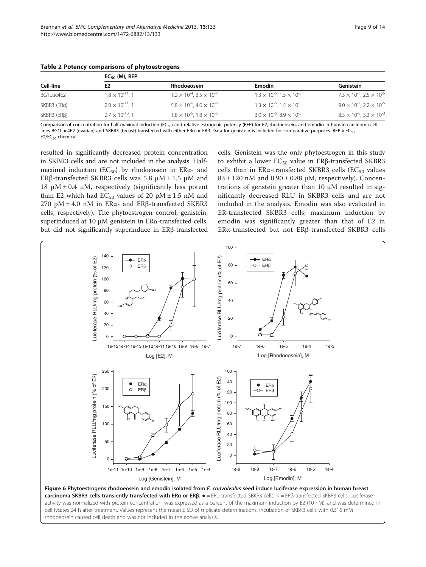| Cell-line   | $EC_{50}$ (M), REP        |                                             |                                             |                                             |  |  |  |
|-------------|---------------------------|---------------------------------------------|---------------------------------------------|---------------------------------------------|--|--|--|
|             | E2                        | <b>Rhodoeosein</b>                          | <b>Emodin</b>                               | Genistein                                   |  |  |  |
| BG1Luc4E2   | $1.8 \times 10^{-11}$ . 1 | $1.2 \times 10^{-4}$ , $3.5 \times 10^{-7}$ | $1.3 \times 10^{-6}$ , $1.5 \times 10^{-5}$ | $7.3 \times 10^{-7}$ , $2.5 \times 10^{-5}$ |  |  |  |
| SKBR3 (ERa) | $2.0 \times 10^{-11}$ , 1 | $5.8 \times 10^{-6}$ , $4.0 \times 10^{-6}$ | $1.3 \times 10^{-6}$ , $1.5 \times 10^{-5}$ | $9.0 \times 10^{-7}$ , 2.2 $\times 10^{-5}$ |  |  |  |
| SKBR3 (ERβ) | $2.7 \times 10^{-10}$ , 1 | $1.8 \times 10^{-5}$ , $1.8 \times 10^{-5}$ | $3.0 \times 10^{-6}$ , $8.9 \times 10^{-5}$ | $8.3 \times 10^{-8}$ , $3.3 \times 10^{-3}$ |  |  |  |

<span id="page-8-0"></span>

|  |  |  |  |  | Table 2 Potency comparisons of phytoestrogens |
|--|--|--|--|--|-----------------------------------------------|
|--|--|--|--|--|-----------------------------------------------|

Comparison of concentration for half-maximal induction (EC<sub>50</sub>) and relative estrogenic potency (REP) for E2, rhodoeosein, and emodin in human carcinoma celllines BG1Luc4E2 (ovarian) and SKBR3 (breast) transfected with either ER $\alpha$  or ERB. Data for genistein is included for comparative purposes. REP = EC<sub>50</sub>  $E2/EC_{50}$  chemical.

resulted in significantly decreased protein concentration in SKBR3 cells and are not included in the analysis. Halfmaximal induction ( $EC_{50}$ ) by rhodoeosein in ER $\alpha$ - and ERβ-transfected SKBR3 cells was 5.8  $μM ± 1.5 μM$  and 18 μM  $±$  0.4 μM, respectively (significantly less potent than E2 which had  $EC_{50}$  values of 20 pM  $\pm$  1.5 nM and 270 pM ± 4.0 nM in ERα- and ERβ-transfected SKBR3 cells, respectively). The phytoestrogen control, genistein, superinduced at 10 μM genistein in ERα-transfected cells, but did not significantly superinduce in ERβ-transfected cells. Genistein was the only phytoestrogen in this study to exhibit a lower  $EC_{50}$  value in  $ER\beta$ -transfected SKBR3 cells than in ER $\alpha$ -transfected SKBR3 cells (EC<sub>50</sub> values  $83 \pm 120$  nM and  $0.90 \pm 0.88$   $\mu$ M, respectively). Concentrations of genstein greater than 10 μM resulted in significantly decreased RLU in SKBR3 cells and are not included in the analysis. Emodin was also evaluated in ER-transfected SKBR3 cells; maximum induction by emodin was significantly greater than that of E2 in ERα-transfected but not ERβ-transfected SKBR3 cells



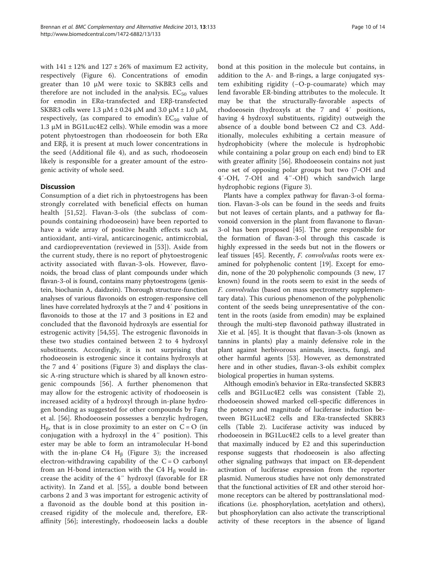with  $141 \pm 12\%$  and  $127 \pm 26\%$  of maximum E2 activity, respectively (Figure [6\)](#page-8-0). Concentrations of emodin greater than 10 μM were toxic to SKBR3 cells and therefore are not included in the analysis.  $EC_{50}$  values for emodin in ERα-transfected and ERβ-transfected SKBR3 cells were 1.3 μM  $\pm$  0.24 μM and 3.0 μM  $\pm$  1.0 μM, respectively, (as compared to emodin's  $EC_{50}$  value of 1.3 μM in BG1Luc4E2 cells). While emodin was a more potent phytoestrogen than rhodoeosein for both ERα and ERβ, it is present at much lower concentrations in the seed (Additional file [4\)](#page-11-0), and as such, rhodoeosein likely is responsible for a greater amount of the estrogenic activity of whole seed.

## **Discussion**

Consumption of a diet rich in phytoestrogens has been strongly correlated with beneficial effects on human health [\[51](#page-12-0),[52\]](#page-12-0). Flavan-3-ols (the subclass of compounds containing rhodoeosein) have been reported to have a wide array of positive health effects such as antioxidant, anti-viral, anticarcinogenic, antimicrobial, and cardiopreventation (reviewed in [[53\]](#page-12-0)). Aside from the current study, there is no report of phytoestrogenic activity associated with flavan-3-ols. However, flavonoids, the broad class of plant compounds under which flavan-3-ol is found, contains many phytoestrogens (genistein, biochanin A, daidzein). Thorough structure-function analyses of various flavonoids on estrogen-responsive cell lines have correlated hydroxyls at the 7 and 4′ positions in flavonoids to those at the 17 and 3 positions in E2 and concluded that the flavonoid hydroxyls are essential for estrogenic activity [\[54](#page-12-0),[55\]](#page-12-0). The estrogenic flavonoids in these two studies contained between 2 to 4 hydroxyl substituents. Accordingly, it is not surprising that rhodoeosein is estrogenic since it contains hydroxyls at the 7 and 4′ positions (Figure [3\)](#page-5-0) and displays the classic A-ring structure which is shared by all known estrogenic compounds [[56\]](#page-12-0). A further phenomenon that may allow for the estrogenic activity of rhodoeosein is increased acidity of a hydroxyl through in-plane hydrogen bonding as suggested for other compounds by Fang et al. [[56\]](#page-12-0). Rhodoeosein possesses a benzylic hydrogen, H<sub>β</sub>, that is in close proximity to an ester on  $C = O$  (in conjugation with a hydroxyl in the 4″ position). This ester may be able to form an intramolecular H-bond with the in-plane C4  $H<sub>β</sub>$  (Figure [3\)](#page-5-0); the increased electron-withdrawing capability of the  $C = O$  carbonyl from an H-bond interaction with the C4  $H_\beta$  would increase the acidity of the 4″ hydroxyl (favorable for ER activity). In Zand et al. [\[55](#page-12-0)], a double bond between carbons 2 and 3 was important for estrogenic activity of a flavonoid as the double bond at this position increased rigidity of the molecule and, therefore, ERaffinity [[56\]](#page-12-0); interestingly, rhodoeosein lacks a double

bond at this position in the molecule but contains, in addition to the A- and B-rings, a large conjugated system exhibiting rigidity (−O-p-coumarate) which may lend favorable ER-binding attributes to the molecule. It may be that the structurally-favorable aspects of rhodoeosein (hydroxyls at the 7 and 4′ positions, having 4 hydroxyl substituents, rigidity) outweigh the absence of a double bond between C2 and C3. Additionally, molecules exhibiting a certain measure of hydrophobicity (where the molecule is hydrophobic while containing a polar group on each end) bind to ER with greater affinity [\[56](#page-12-0)]. Rhodoeosein contains not just one set of opposing polar groups but two (7-OH and 4′-OH, 7-OH and 4″-OH) which sandwich large hydrophobic regions (Figure [3\)](#page-5-0).

Plants have a complex pathway for flavan-3-ol formation. Flavan-3-ols can be found in the seeds and fruits but not leaves of certain plants, and a pathway for flavonoid conversion in the plant from flavanone to flavan-3-ol has been proposed [[45\]](#page-12-0). The gene responsible for the formation of flavan-3-ol through this cascade is highly expressed in the seeds but not in the flowers or leaf tissues [\[45](#page-12-0)]. Recently, F. convolvulus roots were examined for polyphenolic content [\[19](#page-12-0)]. Except for emodin, none of the 20 polyphenolic compounds (3 new, 17 known) found in the roots seem to exist in the seeds of F. convolvulus (based on mass spectrometry supplementary data). This curious phenomenon of the polyphenolic content of the seeds being unrepresentative of the content in the roots (aside from emodin) may be explained through the multi-step flavonoid pathway illustrated in Xie et al. [[45](#page-12-0)]. It is thought that flavan-3-ols (known as tannins in plants) play a mainly defensive role in the plant against herbivorous animals, insects, fungi, and other harmful agents [\[53](#page-12-0)]. However, as demonstrated here and in other studies, flavan-3-ols exhibit complex biological properties in human systems.

Although emodin's behavior in ERα-transfected SKBR3 cells and BG1Luc4E2 cells was consistent (Table [2](#page-8-0)), rhodoeosein showed marked cell-specific differences in the potency and magnitude of luciferase induction between BG1Luc4E2 cells and ERα-transfected SKBR3 cells (Table [2\)](#page-8-0). Luciferase activity was induced by rhodoeosein in BG1Luc4E2 cells to a level greater than that maximally induced by E2 and this superinduction response suggests that rhodoeosein is also affecting other signaling pathways that impact on ER-dependent activation of luciferase expression from the reporter plasmid. Numerous studies have not only demonstrated that the functional activities of ER and other steroid hormone receptors can be altered by posttranslational modifications (i.e. phosphorylation, acetylation and others), but phosphorylation can also activate the transcriptional activity of these receptors in the absence of ligand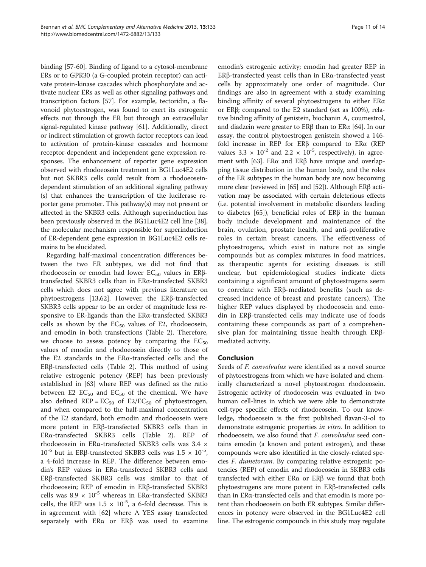binding [\[57](#page-12-0)[-60](#page-13-0)]. Binding of ligand to a cytosol-membrane ERs or to GPR30 (a G-coupled protein receptor) can activate protein-kinase cascades which phosphorylate and activate nuclear ERs as well as other signaling pathways and transcription factors [[57](#page-12-0)]. For example, tectoridin, a flavonoid phytoestrogen, was found to exert its estrogenic effects not through the ER but through an extracellular signal-regulated kinase pathway [\[61](#page-13-0)]. Additionally, direct or indirect stimulation of growth factor receptors can lead to activation of protein-kinase cascades and hormone receptor-dependent and independent gene expression responses. The enhancement of reporter gene expression observed with rhodoeosein treatment in BG1Luc4E2 cells but not SKBR3 cells could result from a rhodoeoseindependent stimulation of an additional signaling pathway (s) that enhances the transcription of the luciferase reporter gene promoter. This pathway(s) may not present or affected in the SKBR3 cells. Although superinduction has been previously observed in the BG1Luc4E2 cell line [[38](#page-12-0)], the molecular mechanism responsible for superinduction of ER-dependent gene expression in BG1Luc4E2 cells remains to be elucidated.

Regarding half-maximal concentration differences between the two ER subtypes, we did not find that rhodoeosein or emodin had lower  $EC_{50}$  values in  $ERβ$ transfected SKBR3 cells than in ERα-transfected SKBR3 cells which does not agree with previous literature on phytoestrogens [[13,](#page-11-0)[62\]](#page-13-0). However, the ERβ-transfected SKBR3 cells appear to be an order of magnitude less responsive to ER-ligands than the ERα-transfected SKBR3 cells as shown by the  $EC_{50}$  values of E2, rhodoeosein, and emodin in both transfections (Table [2](#page-8-0)). Therefore, we choose to assess potency by comparing the  $EC_{50}$ values of emodin and rhodoeosein directly to those of the E2 standards in the ERα-transfected cells and the ERβ-transfected cells (Table [2](#page-8-0)). This method of using relative estrogenic potency (REP) has been previously established in [[63\]](#page-13-0) where REP was defined as the ratio between E2  $EC_{50}$  and  $EC_{50}$  of the chemical. We have also defined  $\text{REP} = \text{EC}_{50}$  of  $\text{E2}/\text{EC}_{50}$  of phytoestrogen, and when compared to the half-maximal concentration of the E2 standard, both emodin and rhodoeosein were more potent in ERβ-transfected SKBR3 cells than in ERα-transfected SKBR3 cells (Table [2\)](#page-8-0). REP of rhodoeosein in ERα-transfected SKBR3 cells was 3.4 × 10<sup>-6</sup> but in ERβ-transfected SKBR3 cells was  $1.5 \times 10^{-5}$ , a 4-fold increase in REP. The difference between emodin's REP values in ERα-transfected SKBR3 cells and ERβ-transfected SKBR3 cells was similar to that of rhodoeosein; REP of emodin in ERβ-transfected SKBR3 cells was  $8.9 \times 10^{-5}$  whereas in ER $\alpha$ -transfected SKBR3 cells, the REP was  $1.5 \times 10^{-5}$ , a 6-fold decrease. This is in agreement with [[62\]](#page-13-0) where A YES assay transfected separately with ERα or ERβ was used to examine

emodin's estrogenic activity; emodin had greater REP in ERβ-transfected yeast cells than in ERα-transfected yeast cells by approximately one order of magnitude. Our findings are also in agreement with a study examining binding affinity of several phytoestrogens to either ERα or ERβ; compared to the E2 standard (set as 100%), relative binding affinity of genistein, biochanin A, coumestrol, and diadzein were greater to ERβ than to ERα [[64](#page-13-0)]. In our assay, the control phytoestrogen genistein showed a 146 fold increase in REP for ERβ compared to ERα (REP values  $3.3 \times 10^{-2}$  and  $2.2 \times 10^{-5}$ , respectively), in agreement with [\[63\]](#page-13-0). ERα and ERβ have unique and overlapping tissue distribution in the human body, and the roles of the ER subtypes in the human body are now becoming more clear (reviewed in [[65\]](#page-13-0) and [[52](#page-12-0)]). Although ERβ activation may be associated with certain deleterious effects (i.e. potential involvement in metabolic disorders leading to diabetes [[65](#page-13-0)]), beneficial roles of ERβ in the human body include development and maintenance of the brain, ovulation, prostate health, and anti-proliferative roles in certain breast cancers. The effectiveness of phytoestrogens, which exist in nature not as single compounds but as complex mixtures in food matrices, as therapeutic agents for existing diseases is still unclear, but epidemiological studies indicate diets containing a significant amount of phytoestrogens seem to correlate with ERβ-mediated benefits (such as decreased incidence of breast and prostate cancers). The higher REP values displayed by rhodoeosein and emodin in ERβ-transfected cells may indicate use of foods containing these compounds as part of a comprehensive plan for maintaining tissue health through ERβmediated activity.

#### Conclusion

Seeds of *F. convolvulus* were identified as a novel source of phytoestrogens from which we have isolated and chemically characterized a novel phytoestrogen rhodoeosein. Estrogenic activity of rhodoeosein was evaluated in two human cell-lines in which we were able to demonstrate cell-type specific effects of rhodoeosein. To our knowledge, rhodoeosein is the first published flavan-3-ol to demonstrate estrogenic properties in vitro. In addition to rhodoeosein, we also found that F. convolvulus seed contains emodin (a known and potent estrogen), and these compounds were also identified in the closely-related species F. dumetorum. By comparing relative estrogenic potencies (REP) of emodin and rhodoeosein in SKBR3 cells transfected with either ERα or ERβ we found that both phytoestrogens are more potent in ERβ-transfected cells than in ERα-transfected cells and that emodin is more potent than rhodoeosein on both ER subtypes. Similar differences in potency were observed in the BG1Luc4E2 cell line. The estrogenic compounds in this study may regulate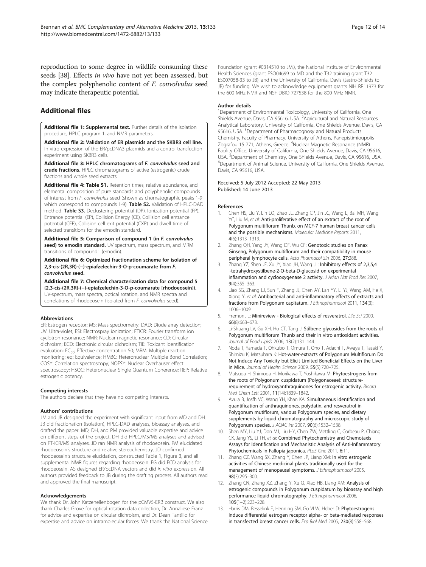<span id="page-11-0"></span>reproduction to some degree in wildlife consuming these seeds [\[38\]](#page-12-0). Effects in vivo have not yet been assessed, but the complex polyphenolic content of F. convolvulus seed may indicate therapeutic potential.

## Additional files

[Additional file 1:](http://www.biomedcentral.com/content/supplementary/1472-6882-13-133-S1.pdf) Supplemental text. Further details of the isolation procedure, HPLC program 1, and NMR parameters.

[Additional file 2:](http://www.biomedcentral.com/content/supplementary/1472-6882-13-133-S2.pdf) Validation of ER plasmids and the SKBR3 cell line. In vitro expression of the ER/pcDNA3 plasmids and a control transfection experiment using SKBR3 cells.

[Additional file 3:](http://www.biomedcentral.com/content/supplementary/1472-6882-13-133-S3.pdf) HPLC chromatograms of F. convolvulus seed and crude fractions. HPLC chromatograms of active (estrogenic) crude fractions and whole seed extracts.

[Additional file 4: Table S1.](http://www.biomedcentral.com/content/supplementary/1472-6882-13-133-S4.pdf) Retention times, relative abundance, and elemental composition of pure standards and polyphenolic compounds of interest from F. convolvulus seed (shown as chomatographic peaks 1-9 which correspond to compounds 1-9). Table S2. Validation of HPLC-DAD method. Table S3. Declustering potential (DP), Ionization potential (FP), Entrance potential (EP), Collision Energy (CE), Collision cell entrance potential (CEP), Collision cell exit potential (CXP) and dwell time of selected transitions for the emodin standard.

[Additional file 5:](http://www.biomedcentral.com/content/supplementary/1472-6882-13-133-S5.pdf) Comparison of compound 1 (in F. convolvulus seed) to emodin standard. UV spectrum, mass spectrum, and MRM transitions of compound1 (emodin).

[Additional file 6:](http://www.biomedcentral.com/content/supplementary/1472-6882-13-133-S6.pdf) Optimized fractionation scheme for isolation of 2,3-cis-(2R,3R)-(−)-epiafzelechin-3-O-p-coumarate from F. convolvulus seed.

[Additional file 7:](http://www.biomedcentral.com/content/supplementary/1472-6882-13-133-S7.pdf) Chemical characterization data for compound 5 (2,3-cis-(2R,3R)-(−)-epiafzelechin-3-O-p-coumarate [rhodoeosein]). UV-spectrum, mass spectra, optical rotation, and NMR spectra and correlations of rhodoeosein (isolated from F. convolvulus seed).

#### Abbreviations

ER: Estrogen receptor; MS: Mass spectrometry; DAD: Diode array detection; UV: Ultra-violet; ESI: Electrospray ionization; FTICR: Fourier transform ion cyclotron resonance; NMR: Nuclear magnetic resonance; CD: Circular dichroism; ECD: Electronic circular dichroism; TIE: Toxicant identification evaluation; EC<sub>50</sub>: Effective concentration 50; MRM: Multiple reaction monitoring; eq: Equivalence; HMBC: Heteronuclear Multiple Bond Correlation; COSY: Correlation spectroscopy; NOESY: Nuclear Overhauser effect spectroscopy; HSQC: Heteronuclear Single Quantum Coherence; REP: Relative estrogenic potency.

#### Competing interests

The authors declare that they have no competing interests.

#### Authors' contributions

JM and JB designed the experiment with significant input from MD and DH. JB did fractionation (isolation), HPLC-DAD analyses, bioassay analyses, and drafted the paper. MD, DH, and PM provided valuable expertise and advice on different steps of the project. DH did HPLC/MS/MS analyses and advised on FT-ICR/MS analyses. JD ran NMR analysis of rhodoeosein. PM elucidated rhodoeosein's structure and relative stereochemistry. JD confirmed rhodoeosein's structure elucidation, constructed Table [1,](#page-6-0) Figure [3,](#page-5-0) and all supplemental NMR figures regarding rhodoeosein. EG did ECD analysis for rhodoeosein. AS designed ER/pcDNA vectors and did in vitro expression. All authors provided feedback to JB during the drafting process. All authors read and approved the final manuscript.

#### Acknowledgements

We thank Dr. John Katzenellenbogen for the pCMV5-ERβ construct. We also thank Charles Grove for optical rotation data collection, Dr. Annaliese Franz for advice and expertise on circular dichroism, and Dr. Dean Tantillo for expertise and advice on intramolecular forces. We thank the National Science

Foundation (grant #0314510 to JM.), the National Institute of Environmental Health Sciences (grant ESO04699 to MD and the T32 training grant T32 ES007058-33 to JB), and the University of California, Davis (Jastro-Shields to JB) for funding. We wish to acknowledge equipment grants NIH RR11973 for the 600 MHz NMR and NSF DBIO 727538 for the 800 MHz NMR.

#### Author details

<sup>1</sup>Department of Environmental Toxicology, University of California, One Shields Avenue, Davis, CA 95616, USA. <sup>2</sup> Agricultural and Natural Resources Analytical Laboratory, University of California, One Shields Avenue, Davis, CA 95616, USA. <sup>3</sup>Department of Pharmacognosy and Natural Products Chemistry, Faculty of Pharmacy, University of Athens, Panepistimioupolis Zografou 15 771, Athens, Greece. <sup>4</sup>Nuclear Magnetic Resonance (NMR) Facility Office, University of California, One Shields Avenue, Davis, CA 95616, USA. <sup>5</sup>Department of Chemistry, One Shields Avenue, Davis, CA 95616, USA.<br><sup>6</sup>Department of Animal Science University of California. One Shields Avenue <sup>6</sup>Department of Animal Science, University of California, One Shields Avenue, Davis, CA 95616, USA.

#### Received: 5 July 2012 Accepted: 22 May 2013 Published: 14 June 2013

#### References

- 1. Chen HS, Liu Y, Lin LQ, Zhao JL, Zhang CP, Jin JC, Wang L, Bai MH, Wang YC, Liu M, et al: Anti-proliferative effect of an extract of the root of Polygonum multiflorum Thunb. on MCF-7 human breast cancer cells and the possible mechanisms. Molecular Medicine Reports 2011, 4(6):1313–1319.
- 2. Zhang QH, Yang JY, Wang DF, Wu CF: Genotoxic studies on Panax Ginseng, Polygonum multiflorum and their compatibility in mouse peripheral lymphocyte cells. Acta Pharmacol Sin 2006, 27:288
- 3. Zhang YZ, Shen JF, Xu JY, Xiao JH, Wang JL: Inhibitory effects of 2,3,5,4 '-tetrahydroxystilbene-2-O-beta-D-glucosid on experimental inflammation and cyclooxygenase 2 activity. J Asian Nat Prod Res 2007, 9(4):355–363.
- 4. Liao SG, Zhang LJ, Sun F, Zhang JJ, Chen AY, Lan YY, Li YJ, Wang AM, He X, Xiong Y, et al: Antibacterial and anti-inflammatory effects of extracts and fractions from Polygonum capitatum. J Ethnopharmacol 2011, 134(3): 1006–1009.
- 5. Fremont L: Minireview Biological effects of resveratrol. Life Sci 2000, 66(8):663–673.
- 6. Li-Shuang LV, Gu XH, Ho CT, Tang J: Stilbene glycosides from the roots of Polygonum multiflorum Thunb and their in vitro antioxidant activities. Journal of Food Lipids 2006, 13(2):131–144.
- 7. Noda T, Yamada T, Ohkubo T, Omura T, Ono T, Adachi T, Awaya T, Tasaki Y, Shimizu K, Matsubara K: Hot-water-extracts of Polygonum Multiflorum Do Not Induce Any Toxicity but Elicit Limited Beneficial Effects on the Liver in Mice. Journal of Health Science 2009, 55(5):720-725.
- Matsuda H, Shimoda H, Morikawa T, Yoshikawa M: Phytoestrogens from the roots of Polygonum cuspidatum (Polygonaceae): structurerequirement of hydroxyanthraquinones for estrogenic activity. Bioorg Med Chem Lett 2001, 11(14):1839–1842.
- 9. Avula B, Josfh VC, Wang YH, Khan KA: Simultaneous identification and quantification of anthraquinones, polydatin, and resveratrol in Polygonum mutiflorum, various Polygonum species, and dietary supplements by liquid chromatography and microscopic study of Polygonum species. J AOAC Int 2007, 90(6):1532–1538.
- 10. Shen MY, Liu YJ, Don MJ, Liu HY, Chen ZW, Mettling C, Corbeau P, Chiang CK, Jang YS, Li TH, et al: Combined Phytochemistry and Chemotaxis Assays for Identification and Mechanistic Analysis of Anti-Inflammatory Phytochemicals in Fallopia japonica. PLoS One 2011, 6:11.
- 11. Zhang CZ, Wang SX, Zhang Y, Chen JP, Liang XM: In vitro estrogenic activities of Chinese medicinal plants traditionally used for the management of menopausal symptoms. *J Ethnopharmacol* 2005, 98(3):295–300.
- 12. Zhang CN, Zhang XZ, Zhang Y, Xu Q, Xiao HB, Liang XM: Analysis of estrogenic compounds in Polygonum cuspidatum by bioassay and high performance liquid chromatography. J Ethnopharmacol 2006, 105(1–2):223–228.
- 13. Harris DM, Besselink E, Henning SM, Go VLW, Heber D: Phytoestrogens induce differential estrogen receptor alpha- or beta-mediated responses in transfected breast cancer cells. Exp Biol Med 2005, 230(8):558–568.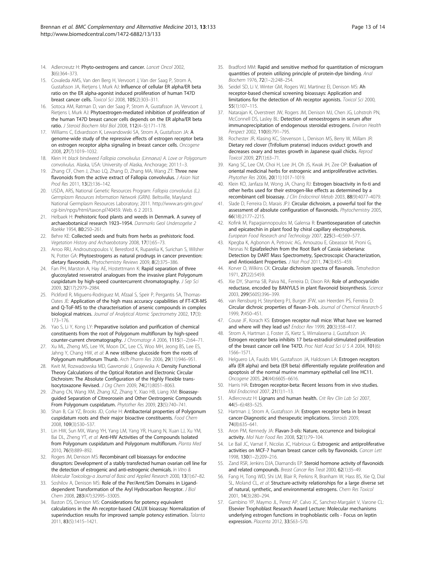- <span id="page-12-0"></span>14. Adlercreutz H: Phyto-oestrogens and cancer. Lancet Oncol 2002, 3(6):364–373.
- 15. Covaleda AMS, Van den Berg H, Vervoort J, Van der Saag P, Strom A, Gustafsson JA, Rietjens I, Murk AJ: Influence of cellular ER alpha/ER beta ratio on the ER alpha-agonist induced proliferation of human T47D breast cancer cells. Toxicol Sci 2008, 105(2):303–311.
- 16. Sotoca AM, Ratman D, van der Saag P, Strom A, Gustafsson JA, Vervoort J, Rietjens I, Murk AJ: Phytoestrogen-mediated inhibition of proliferation of the human T47D breast cancer cells depends on the ER alpha/ER beta ratio. J Steroid Biochem Mol Biol 2008, 112(4–5):171–178.
- 17. Williams C, Edvardsson K, Lewandowski SA, Strom A, Gustafsson JA: A genome-wide study of the repressive effects of estrogen receptor beta on estrogen receptor alpha signaling in breast cancer cells. Oncogene 2008, 27(7):1019–1032.
- 18. Klein H: black bindweed Fallopia convolvulus (Linnaeus) A. Love or Polygonum convolvulus. Alaska, USA: University of Alaska, Anchorage; 2011:1–3.
- 19. Zhang CF, Chen J, Zhao LQ, Zhang D, Zhang MA, Wang ZT: Three new flavonoids from the active extract of Fallopia convolvulus. J Asian Nat Prod Res 2011, 13(2):136–142.
- 20. USDA, ARS, National Genetic Resources Program: Fallopia convolvulus (L.). Germplasm Resources Information Network (GRIN). Beltsville, Maryland: National Germplasm Resources Laboratory; 2011. [http://www.ars-grin.gov/](http://www.ars-grin.gov/cgi-bin/npgs/html/taxon.pl?40459) [cgi-bin/npgs/html/taxon.pl?40459](http://www.ars-grin.gov/cgi-bin/npgs/html/taxon.pl?40459). Web. 6 2 2013.
- 21. Helbaek H: Prehistoric food plants and weeds in Denmark. A survey of archaeobotanical research 1923–1954. Danmarks Geol Undersogelse 2 Raekke 1954, 80:250–261.
- 22. Behre KE: Collected seeds and fruits from herbs as prehistoric food. Vegetation History and Archaeobotany 2008, 17(1):65–73.
- 23. Arroo RRJ, Androutsopoulos V, Beresford K, Ruparelia K, Surichan S, Wilsher N, Potter GA: Phytoestrogens as natural prodrugs in cancer prevention: dietary flavonoids. Phytochemistry Reviews 2009, 8(2):375-386.
- 24. Fan PH, Marston A, Hay AE, Hostettmann K: Rapid separation of three glucosylated resveratrol analogues from the invasive plant Polygonum cuspidatum by high-speed countercurrent chromatography. J Sep Sci 2009, 32(17):2979–2984.
- 25. Pickford R, Miguens-Rodriguez M, Afzaal S, Speir P, Pergantis SA, Thomas-Oates JE: Application of the high mass accuracy capabilities of FT-ICR-MS and Q-ToF-MS to the characterisation of arsenic compounds in complex biological matrices. Journal of Analytical Atomic Spectrometry 2002, 17(3): 173–176.
- 26. Yao S, Li Y, Kong LY: Preparative isolation and purification of chemical constituents from the root of Polygonum multiflorum by high-speed counter-current chromatography. J Chromatogr A 2006, 1115(1-2):64-71.
- 27. Xu ML, Zheng MS, Lee YK, Moon DC, Lee CS, Woo MH, Jeong BS, Lee ES, Jahng Y, Chang HW, et al: A new stilbene glucoside from the roots of Polygonum multiflorum Thunb. Arch Pharm Res 2006, 29(11):946–951.
- 28. Kwit M, Rozwadowska MD, Gawronski J, Grajewska A: Density Functional Theory Calculations of the Optical Rotation and Electronic Circular Dichroism: The Absolute Configuration of the Highly Flexible trans-Isocytoxazone Revised. J Org Chem 2009, 74(21):8051–8063.
- 29. Zhang CN, Wang XM, Zhang XZ, Zhang Y, Xiao HB, Liang XM: Bioassayguided Separation of Citreorosein and Other Oestrogenic Compounds From Polygonum cuspidatum. Phytother Res 2009, 23(5):740–741.
- 30. Shan B, Cai YZ, Brooks JD, Corke H: Antibacterial properties of Polygonum cuspidatum roots and their major bioactive constituents. Food Chem 2008, 109(3):530–537.
- 31. Lin HW, Sun MX, Wang YH, Yang LM, Yang YR, Huang N, Xuan LJ, Xu YM, Bai DL, Zheng YT, et al: Anti-HIV Activities of the Compounds Isolated from Polygonum cuspidatum and Polygonum multiflorum. Planta Med 2010, 76(9):889–892.
- 32. Rogers JM, Denison MS: Recombinant cell bioassays for endocrine disruptors: Development of a stably transfected human ovarian cell line for the detection of estrogenic and anti-estrogenic chemicals. In Vitro & Molecular Toxicology-a Journal of Basic and Applied Research 2000, 13(1):67–82.
- 33. Soshilov A, Denison MS: Role of the Per/Arnt/Sim Domains in Liganddependent Transformation of the Aryl Hydrocarbon Receptor. J Biol Chem 2008, 283(47):32995–33005.
- 34. Baston DS, Denison MS: Considerations for potency equivalent calculations in the Ah receptor-based CALUX bioassay: Normalization of superinduction results for improved sample potency estimation. Talanta 2011, 83(5):1415–1421.
- 35. Bradford MM: Rapid and sensitive method for quantitation of microgram quantities of protein utilizing principle of protein-dye binding. Anal Biochem 1976, 72(1–2):248–254.
- 36. Seidel SD, Li V, Winter GM, Rogers WJ, Martinez EI, Denison MS: Ah receptor-based chemical screening bioassays: Application and limitations for the detection of Ah receptor agonists. Toxicol Sci 2000, 55(1):107–115.
- 37. Natarajan K, Overstreet JW, Rogers JM, Denison MJ, Chen JG, Lohstroh PN, McConnell DS, Lasley BL: Detection of xenoestrogens in serum after immunoprecipitation of endogenous steroidal estrogens. Environ Health Perspect 2002, 110(8):791–795.
- 38. Rochester JR, Klasing KC, Stevenson L, Denison MS, Berry W, Millam JR: Dietary red clover (Trifolium pratense) induces oviduct growth and decreases ovary and testes growth in Japanese quail chicks. Reprod Toxicol 2009, 27(1):63–71.
- 39. Kang SC, Lee CM, Choi H, Lee JH, Oh JS, Kwak JH, Zee OP: Evaluation of oriental medicinal herbs for estrogenic and antiproliferative activities. Phytother Res 2006, 20(11):1017-1019.
- 40. Klein KO, Janfaza M, Wong JA, Chang RJ: Estrogen bioactivity in fo-ti and other herbs used for their estrogen-like effects as determined by a recombinant cell bioassay. J Clin Endocrinol Metab 2003, 88(9):4077–4079.
- 41. Slade D, Ferreira D, Marais JPJ: Circular dichroism, a powerful tool for the assessment of absolute configuration of flavonoids. Phytochemistry 2005, 66(18):2177–2215.
- 42. Kofink M, Papagiannopoulos M, Galensa R: Enantioseparation of catechin and epicatechin in plant food by chiral capillary electrophoresis. European Food Research and Technology 2007, 225(3–4):569–577.
- 43. Kpegba K, Agbonon A, Petrovic AG, Amouzou E, Gbeassor M, Proni G, Nesnas N: Epiafzelechin from the Root Bark of Cassia sieberiana: Detection by DART Mass Spectrometry, Spectroscopic Characterization, and Antioxidant Properties. J Nat Prod 2011, 74(3):455–459.
- 44. Korver O, Wilkins CK: Circular dichroism spectra of flavanols. Tetrahedron 1971, 27(22):5459.
- 45. Xie DY, Sharma SB, Paiva NL, Ferreira D, Dixon RA: Role of anthocyanidin reductase, encoded by BANYULS in plant flavonoid biosynthesis. Science 2003, 299(5605):396–399.
- 46. van Rensburg H, Steynberg PJ, Burger JFW, van Heerden PS, Ferreira D: Circular dichroic properties of flavan-3-ols. Journal of Chemical Research-S 1999, 7:450–451.
- 47. Couse JF, Korach KS: Estrogen receptor null mice: What have we learned and where will they lead us? Endocr Rev 1999, 20(3):358–417.
- 48. Strom A, Hartman J, Foster JS, Kietz S, Wimalasena J, Gustafsson JA: Estrogen receptor beta inhibits 17 beta-estradiol-stimulated proliferation of the breast cancer cell line T47D. Proc Natl Acad Sci U S A 2004, 101(6): 1566–1571.
- 49. Helguero LA, Faulds MH, Gustafsson JA, Haldosen LA: Estrogen receptors alfa (ER alpha) and beta (ER beta) differentially regulate proliferation and apoptosis of the normal murine mammary epithelial cell line HC11. Oncogene 2005, 24(44):6605–6616.
- 50. Harris HA: Estrogen receptor-beta: Recent lessons from in vivo studies. Mol Endocrinol 2007, 21(1):1–13.
- 51. Adlercreutz H: Lignans and human health. Crit Rev Clin Lab Sci 2007, 44(5–6):483–525.
- 52. Hartman J, Strom A, Gustafsson JA: Estrogen receptor beta in breast cancer-Diagnostic and therapeutic implications. Steroids 2009, 74(8):635–641.
- 53. Aron PM, Kennedy JA: Flavan-3-ols: Nature, occurrence and biological activity. Mol Nutr Food Res 2008, 52(1):79–104.
- 54. Le Bail JC, Varnat F, Nicolas JC, Habrioux G: Estrogenic and antiproliferative activities on MCF-7 human breast cancer cells by flavonoids. Cancer Lett 1998, 130(1–2):209–216.
- 55. Zand RSR, Jenkins DJA, Diamandis EP: Steroid hormone activity of flavonoids and related compounds. Breast Cancer Res Treat 2000, 62(1):35–49.
- 56. Fang H, Tong WD, Shi LM, Blair R, Perkins R, Branham W, Hass BS, Xie Q, Dial SL, Moland CL, et al: Structure-activity relationships for a large diverse set of natural, synthetic, and environmental estrogens. Chem Res Toxicol 2001, 14(3):280–294.
- 57. Gambino YP, Maymo JL, Perez AP, Calvo JC, Sanchez-Margalet V, Varone CL: Elsevier Trophoblast Research Award Lecture: Molecular mechanisms underlying estrogen functions in trophoblastic cells - Focus on leptin expression. Placenta 2012, 33:S63–S70.